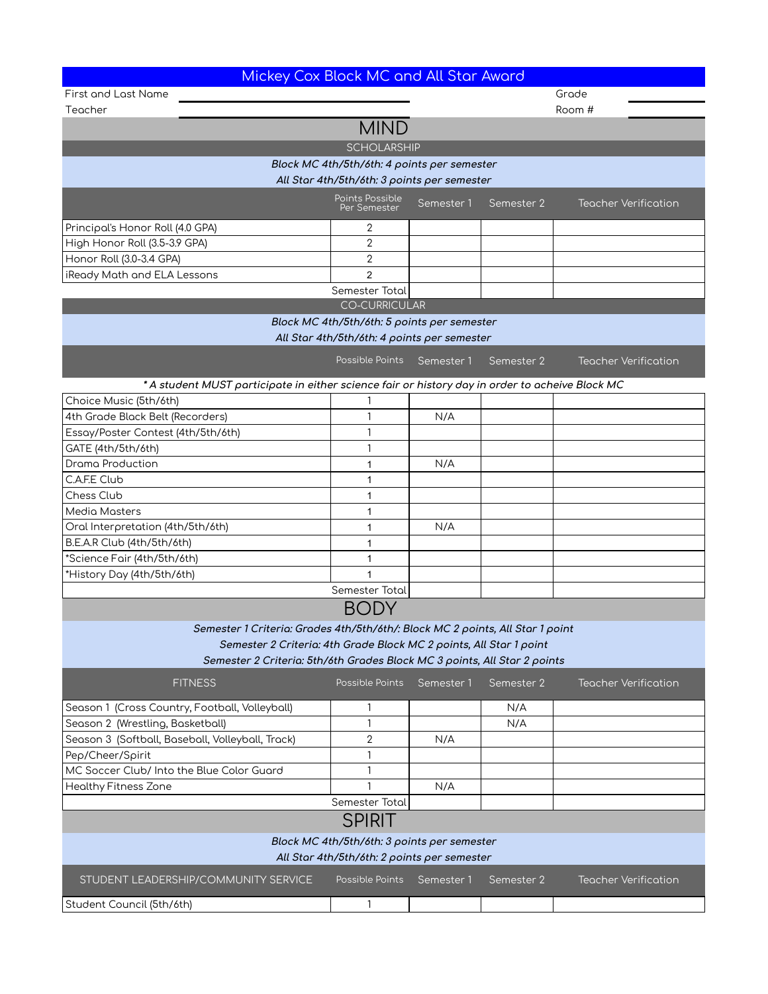| Mickey Cox Block MC and All Star Award                                                          |                                 |            |            |                             |  |  |  |  |  |
|-------------------------------------------------------------------------------------------------|---------------------------------|------------|------------|-----------------------------|--|--|--|--|--|
| <b>First and Last Name</b>                                                                      | Grade                           |            |            |                             |  |  |  |  |  |
| Teacher                                                                                         |                                 |            |            | Room #                      |  |  |  |  |  |
| <b>MIND</b>                                                                                     |                                 |            |            |                             |  |  |  |  |  |
| <b>SCHOLARSHIP</b>                                                                              |                                 |            |            |                             |  |  |  |  |  |
| Block MC 4th/5th/6th: 4 points per semester                                                     |                                 |            |            |                             |  |  |  |  |  |
| All Star 4th/5th/6th: 3 points per semester                                                     |                                 |            |            |                             |  |  |  |  |  |
|                                                                                                 | Points Possible<br>Per Semester | Semester 1 | Semester 2 | <b>Teacher Verification</b> |  |  |  |  |  |
| Principal's Honor Roll (4.0 GPA)                                                                | 2                               |            |            |                             |  |  |  |  |  |
| High Honor Roll (3.5-3.9 GPA)                                                                   | $\overline{2}$                  |            |            |                             |  |  |  |  |  |
| Honor Roll (3.0-3.4 GPA)                                                                        | 2                               |            |            |                             |  |  |  |  |  |
| iReady Math and ELA Lessons                                                                     | $\overline{2}$                  |            |            |                             |  |  |  |  |  |
|                                                                                                 | Semester Total                  |            |            |                             |  |  |  |  |  |
|                                                                                                 | <b>CO-CURRICULAR</b>            |            |            |                             |  |  |  |  |  |
| Block MC 4th/5th/6th: 5 points per semester                                                     |                                 |            |            |                             |  |  |  |  |  |
| All Star 4th/5th/6th: 4 points per semester                                                     |                                 |            |            |                             |  |  |  |  |  |
|                                                                                                 | Possible Points Semester 1      |            | Semester 2 | <b>Teacher Verification</b> |  |  |  |  |  |
| * A student MUST participate in either science fair or history day in order to acheive Block MC |                                 |            |            |                             |  |  |  |  |  |
| Choice Music (5th/6th)                                                                          |                                 |            |            |                             |  |  |  |  |  |
| 4th Grade Black Belt (Recorders)                                                                | 1                               | N/A        |            |                             |  |  |  |  |  |
| Essay/Poster Contest (4th/5th/6th)                                                              | 1                               |            |            |                             |  |  |  |  |  |
| GATE (4th/5th/6th)                                                                              | 1                               |            |            |                             |  |  |  |  |  |
| <b>Drama Production</b>                                                                         | 1                               | N/A        |            |                             |  |  |  |  |  |
| C.A.F.E Club                                                                                    | 1                               |            |            |                             |  |  |  |  |  |
| Chess Club                                                                                      | 1                               |            |            |                             |  |  |  |  |  |
| Media Masters                                                                                   | 1                               |            |            |                             |  |  |  |  |  |
| Oral Interpretation (4th/5th/6th)                                                               | 1                               | N/A        |            |                             |  |  |  |  |  |
| B.E.A.R Club (4th/5th/6th)                                                                      | 1                               |            |            |                             |  |  |  |  |  |
| *Science Fair (4th/5th/6th)                                                                     | 1                               |            |            |                             |  |  |  |  |  |
| *History Day (4th/5th/6th)                                                                      | 1                               |            |            |                             |  |  |  |  |  |
|                                                                                                 | Semester Total                  |            |            |                             |  |  |  |  |  |
| BODY                                                                                            |                                 |            |            |                             |  |  |  |  |  |
| Semester 1 Criteria: Grades 4th/5th/6th/: Block MC 2 points, All Star 1 point                   |                                 |            |            |                             |  |  |  |  |  |
| Semester 2 Criteria: 4th Grade Block MC 2 points, All Star 1 point                              |                                 |            |            |                             |  |  |  |  |  |
| Semester 2 Criteria: 5th/6th Grades Block MC 3 points, All Star 2 points                        |                                 |            |            |                             |  |  |  |  |  |
| <b>FITNESS</b>                                                                                  | Possible Points                 | Semester 1 | Semester 2 | <b>Teacher Verification</b> |  |  |  |  |  |
| Season 1 (Cross Country, Football, Volleyball)                                                  | 1                               |            | N/A        |                             |  |  |  |  |  |
| Season 2 (Wrestling, Basketball)                                                                | $\mathbf{1}$                    |            | N/A        |                             |  |  |  |  |  |
| Season 3 (Softball, Baseball, Volleyball, Track)                                                | 2                               | N/A        |            |                             |  |  |  |  |  |
| Pep/Cheer/Spirit                                                                                | 1                               |            |            |                             |  |  |  |  |  |
| MC Soccer Club/ Into the Blue Color Guard                                                       | $\mathbf{1}$                    |            |            |                             |  |  |  |  |  |
| <b>Healthy Fitness Zone</b>                                                                     | $\mathbf{1}$                    | N/A        |            |                             |  |  |  |  |  |
|                                                                                                 | Semester Total                  |            |            |                             |  |  |  |  |  |
| <b>SPIRIT</b>                                                                                   |                                 |            |            |                             |  |  |  |  |  |
| Block MC 4th/5th/6th: 3 points per semester<br>All Star 4th/5th/6th: 2 points per semester      |                                 |            |            |                             |  |  |  |  |  |
| STUDENT LEADERSHIP/COMMUNITY SERVICE                                                            | Possible Points                 | Semester 1 | Semester 2 | <b>Teacher Verification</b> |  |  |  |  |  |
| Student Council (5th/6th)                                                                       | 1                               |            |            |                             |  |  |  |  |  |